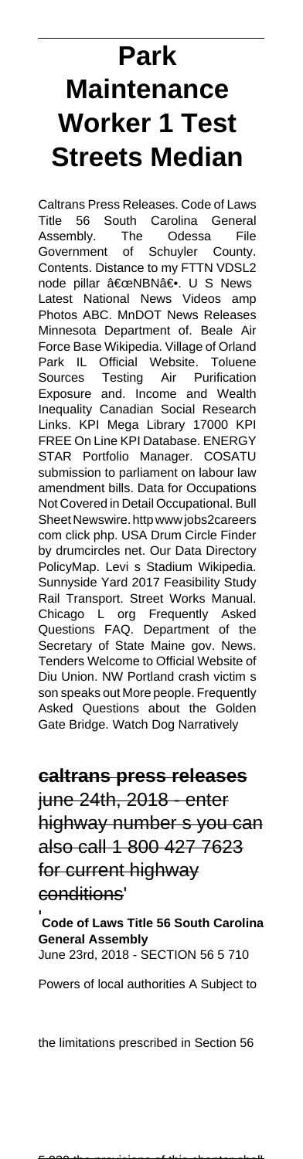# **Park Maintenance Worker 1 Test Streets Median**

Caltrans Press Releases. Code of Laws Title 56 South Carolina General Assembly. The Odessa File Government of Schuyler County. Contents. Distance to my FTTN VDSL2 node pillar "NBNâ€. U S News Latest National News Videos amp Photos ABC. MnDOT News Releases Minnesota Department of. Beale Air Force Base Wikipedia. Village of Orland Park IL Official Website. Toluene Sources Testing Air Purification Exposure and. Income and Wealth Inequality Canadian Social Research Links. KPI Mega Library 17000 KPI FREE On Line KPI Database. ENERGY STAR Portfolio Manager. COSATU submission to parliament on labour law amendment bills. Data for Occupations Not Covered in Detail Occupational. Bull Sheet Newswire. http www jobs2careers com click php. USA Drum Circle Finder by drumcircles net. Our Data Directory PolicyMap. Levi s Stadium Wikipedia. Sunnyside Yard 2017 Feasibility Study Rail Transport. Street Works Manual. Chicago L org Frequently Asked Questions FAQ. Department of the Secretary of State Maine gov. News. Tenders Welcome to Official Website of Diu Union. NW Portland crash victim s son speaks out More people. Frequently Asked Questions about the Golden Gate Bridge. Watch Dog Narratively

**caltrans press releases** june 24th, 2018 - enter highway number s you can also call 1 800 427 7623 for current highway conditions'

'**Code of Laws Title 56 South Carolina General Assembly** June 23rd, 2018 - SECTION 56 5 710

Powers of local authorities A Subject to

the limitations prescribed in Section 56

 $\overline{5}$  930 the provisions of this chapter shall 1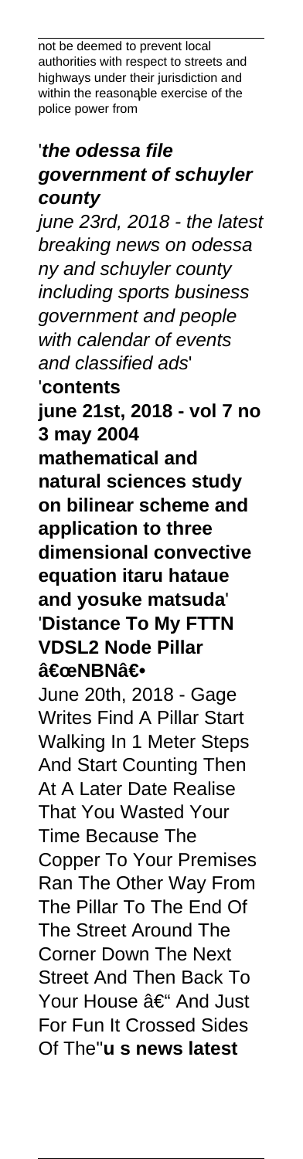not be deemed to prevent local authorities with respect to streets and highways under their jurisdiction and within the reasonable exercise of the police power from'

# '**the odessa file government of schuyler county**

june 23rd, 2018 - the latest breaking news on odessa ny and schuyler county including sports business government and people with calendar of events and classified ads' '**contents june 21st, 2018 - vol 7 no 3 may 2004 mathematical and natural sciences study on bilinear scheme and application to three dimensional convective equation itaru hataue and yosuke matsuda**' '**Distance To My FTTN VDSL2 Node Pillar** "NBN― June 20th, 2018 - Gage Writes Find A Pillar Start Walking In 1 Meter Steps And Start Counting Then At A Later Date Realise That You Wasted Your Time Because The Copper To Your Premises Ran The Other Way From The Pillar To The End Of The Street Around The Corner Down The Next Street And Then Back To Your House – And Just For Fun It Crossed Sides Of The''**u s news latest**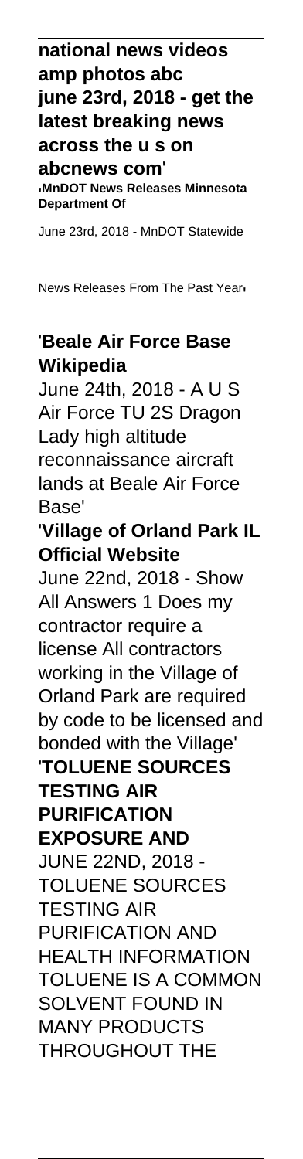**national news videos amp photos abc june 23rd, 2018 - get the latest breaking news across the u s on abcnews com**' '**MnDOT News Releases Minnesota Department Of**

June 23rd, 2018 - MnDOT Statewide

News Releases From The Past Year'

# '**Beale Air Force Base Wikipedia**

June 24th, 2018 - A U S Air Force TU 2S Dragon Lady high altitude reconnaissance aircraft lands at Beale Air Force Base'

#### '**Village of Orland Park IL Official Website**

June 22nd, 2018 - Show All Answers 1 Does my contractor require a license All contractors working in the Village of Orland Park are required by code to be licensed and bonded with the Village' '**TOLUENE SOURCES TESTING AIR**

# **PURIFICATION**

**EXPOSURE AND** JUNE 22ND, 2018 - TOLUENE SOURCES TESTING AIR PURIFICATION AND HEALTH INFORMATION TOLUENE IS A COMMON SOLVENT FOUND IN MANY PRODUCTS THROUGHOUT THE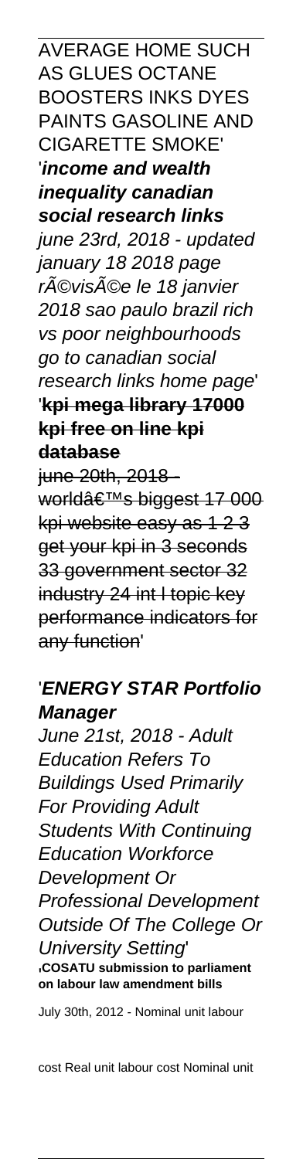AVERAGE HOME SUCH AS GLUES OCTANE BOOSTERS INKS DYES PAINTS GASOLINE AND CIGARETTE SMOKE' '**income and wealth inequality canadian social research links** june 23rd, 2018 - updated january 18 2018 page révisée le 18 janvier 2018 sao paulo brazil rich vs poor neighbourhoods go to canadian social research links home page' '**kpi mega library 17000 kpi free on line kpi database** june 20th, 2018 world's biggest 17 000 kpi website easy as 1 2 3

get your kpi in 3 seconds 33 government sector 32 industry 24 int l topic key performance indicators for any function'

# '**ENERGY STAR Portfolio Manager**

June 21st, 2018 - Adult Education Refers To Buildings Used Primarily For Providing Adult Students With Continuing Education Workforce Development Or Professional Development Outside Of The College Or University Setting' '**COSATU submission to parliament on labour law amendment bills**

July 30th, 2012 - Nominal unit labour

cost Real unit labour cost Nominal unit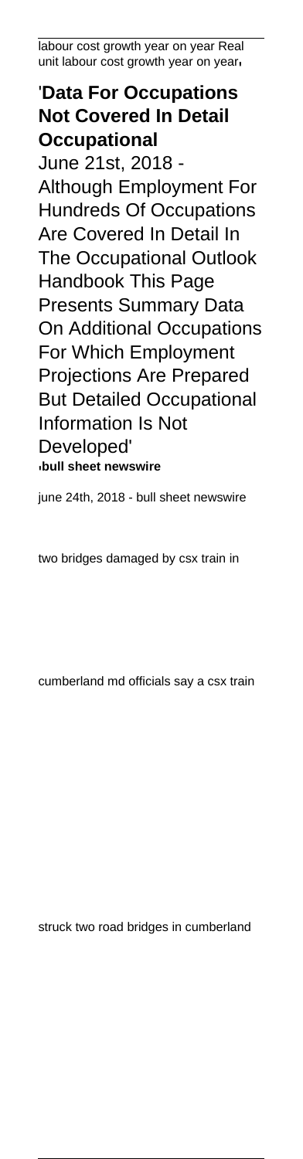labour cost growth year on year Real unit labour cost growth year on year'

# '**Data For Occupations Not Covered In Detail Occupational** June 21st, 2018 -

Although Employment For Hundreds Of Occupations Are Covered In Detail In The Occupational Outlook Handbook This Page Presents Summary Data On Additional Occupations For Which Employment Projections Are Prepared But Detailed Occupational Information Is Not Developed' '**bull sheet newswire**

june 24th, 2018 - bull sheet newswire

two bridges damaged by csx train in

cumberland md officials say a csx train

struck two road bridges in cumberland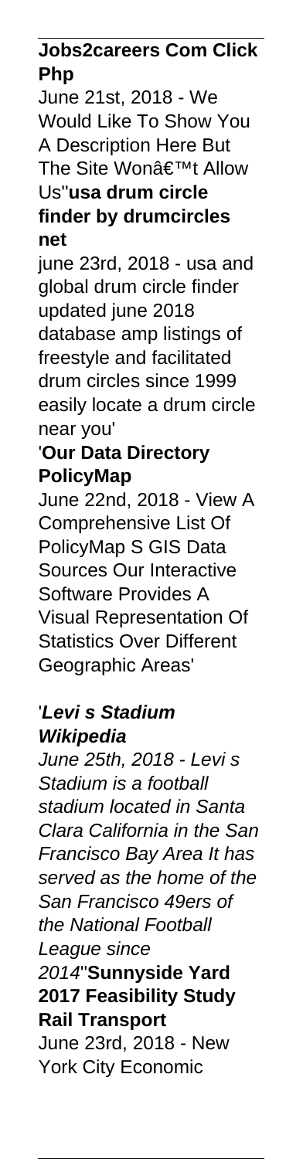#### **Jobs2careers Com Click Php**

June 21st, 2018 - We Would Like To Show You A Description Here But The Site Won't Allow Us''**usa drum circle finder by drumcircles net**

june 23rd, 2018 - usa and global drum circle finder updated june 2018 database amp listings of freestyle and facilitated drum circles since 1999 easily locate a drum circle near you'

#### '**Our Data Directory PolicyMap**

June 22nd, 2018 - View A Comprehensive List Of PolicyMap S GIS Data Sources Our Interactive Software Provides A Visual Representation Of Statistics Over Different Geographic Areas'

# '**Levi s Stadium Wikipedia**

June 25th, 2018 - Levi s Stadium is a football stadium located in Santa Clara California in the San Francisco Bay Area It has served as the home of the San Francisco 49ers of the National Football League since 2014''**Sunnyside Yard 2017 Feasibility Study Rail Transport** June 23rd, 2018 - New York City Economic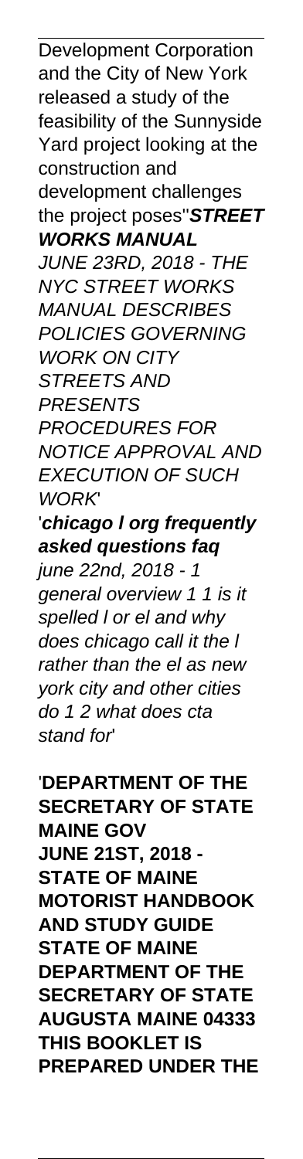Development Corporation and the City of New York released a study of the feasibility of the Sunnyside Yard project looking at the construction and development challenges the project poses''**STREET WORKS MANUAL** JUNE 23RD, 2018 - THE NYC STREET WORKS MANUAL DESCRIBES POLICIES GOVERNING WORK ON CITY STREETS AND **PRESENTS** PROCEDURES FOR NOTICE APPROVAL AND EXECUTION OF SUCH WORK' '**chicago l org frequently asked questions faq** june 22nd, 2018 - 1 general overview 1 1 is it spelled l or el and why

does chicago call it the I rather than the el as new york city and other cities do 1 2 what does cta stand for'

'**DEPARTMENT OF THE SECRETARY OF STATE MAINE GOV JUNE 21ST, 2018 - STATE OF MAINE MOTORIST HANDBOOK AND STUDY GUIDE STATE OF MAINE DEPARTMENT OF THE SECRETARY OF STATE AUGUSTA MAINE 04333 THIS BOOKLET IS PREPARED UNDER THE**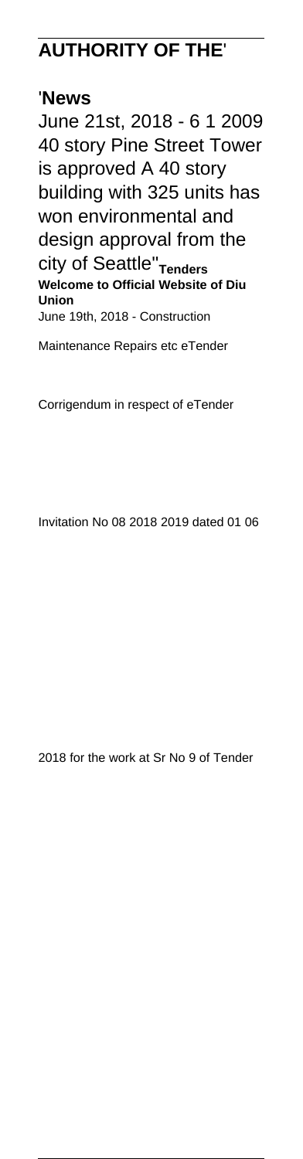# **AUTHORITY OF THE**'

#### '**News**

June 21st, 2018 - 6 1 2009 40 story Pine Street Tower is approved A 40 story building with 325 units has won environmental and design approval from the city of Seattle''**Tenders Welcome to Official Website of Diu Union** June 19th, 2018 - Construction

Maintenance Repairs etc eTender

Corrigendum in respect of eTender

Invitation No 08 2018 2019 dated 01 06

2018 for the work at Sr No 9 of Tender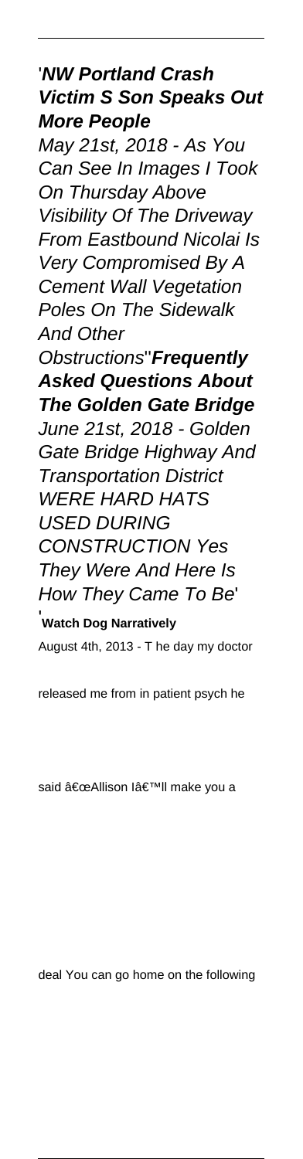#### '**NW Portland Crash Victim S Son Speaks Out More People**

May 21st, 2018 - As You Can See In Images I Took On Thursday Above Visibility Of The Driveway From Eastbound Nicolai Is Very Compromised By A Cement Wall Vegetation Poles On The Sidewalk And Other

Obstructions''**Frequently Asked Questions About The Golden Gate Bridge** June 21st, 2018 - Golden Gate Bridge Highway And Transportation District WERE HARD HATS USED DURING CONSTRUCTION Yes They Were And Here Is How They Came To Be' '**Watch Dog Narratively**

August 4th, 2013 - T he day my doctor

released me from in patient psych he

said "Allison I'll make you a

deal You can go home on the following